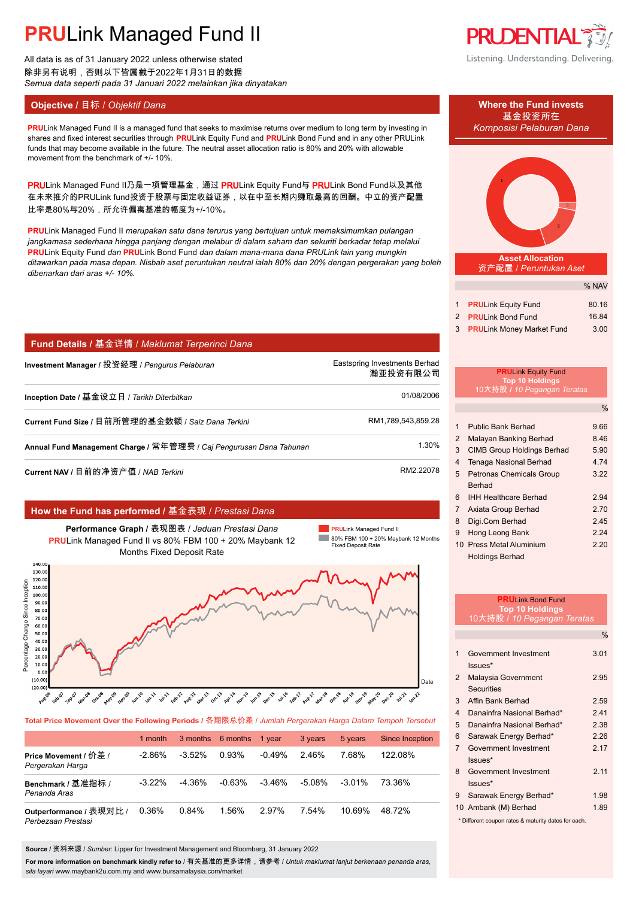All data is as of 31 January 2022 unless otherwise stated 除非另有说明,否则以下皆属截于2022年1月31日的数据 *Semua data seperti pada 31 Januari 2022 melainkan jika dinyatakan*

# **Objective /** 目标 / *Objektif Dana* **Where the Fund invests**

**PRULink Managed Fund II is a managed fund that seeks to maximise returns over medium to long term by investing in Komposisi Pelaburan Dana** shares and fixed interest securities through **PRU**Link Equity Fund and **PRU**Link Bond Fund and in any other PRULink funds that may become available in the future. The neutral asset allocation ratio is 80% and 20% with allowable movement from the benchmark of +/- 10%.

PRULink Managed Fund II乃是一项管理基金,通过 PRULink Equity Fund与 PRULink Bond Fund以及其他 在未来推介的PRULink fund投资于股票与固定收益证券,以在中至长期内赚取最高的回酬。中立的资产配置 比率是80%与20%,所允许偏离基准的幅度为+/-10%。

**PRU**Link Managed Fund II *merupakan satu dana terurus yang bertujuan untuk memaksimumkan pulangan jangkamasa sederhana hingga panjang dengan melabur di dalam saham dan sekuriti berkadar tetap melalui* **PRU**Link Equity Fund *dan* **PRU**Link Bond Fund *dan dalam mana-mana dana PRULink lain yang mungkin ditawarkan pada masa depan. Nisbah aset peruntukan neutral ialah 80% dan 20% dengan pergerakan yang boleh dibenarkan dari aras +/- 10%.*

## **Fund Details /** 基金详情 / *Maklumat Terperinci Dana*

| Investment Manager / 投资经理 / <i>Penqurus Pelaburan</i>               | Eastspring Investments Berhad<br>瀚亚投资有限公司 |
|---------------------------------------------------------------------|-------------------------------------------|
| Inception Date / 基金设立日 / <i>Tarikh Diterbitkan</i>                  | 01/08/2006                                |
| Current Fund Size / 目前所管理的基金数额 / Saiz Dana Terkini                  | RM1,789,543,859.28                        |
| Annual Fund Management Charge / 常年管理费 / Caj Pengurusan Dana Tahunan | 1.30%                                     |
|                                                                     |                                           |

**Current NAV / 目前的净资产值 /** *NAB Terkini* **RM2.22078.** AM2.22078

## **How the Fund has performed /** 基金表现 / *Prestasi Dana*

**Performance Graph /** 表现图表 / *Jaduan Prestasi Dana* **PRU**Link Managed Fund II vs 80% FBM 100 + 20% Maybank 12 Months Fixed Deposit Rate

**PRU**Link Managed Fund II **College** 80% FBM 100 + 20% Maybank 12 Months Fixed Deposit Rate



**Total Price Movement Over the Following Periods /** 各期限总价差 / *Jumlah Pergerakan Harga Dalam Tempoh Tersebut*

|                                               | 1 month   | 3 months 6 months |          | 1 vear    | 3 years | 5 years   | Since Inception |
|-----------------------------------------------|-----------|-------------------|----------|-----------|---------|-----------|-----------------|
| Price Movement / 价差 /<br>Pergerakan Harga     | $-2.86\%$ | $-3.52\%$         | 0.93%    | $-0.49%$  | 2.46%   | 7.68%     | 122.08%         |
| Benchmark / 基准指标 /<br>Penanda Aras            | $-3.22\%$ | $-4.36\%$         | $-0.63%$ | $-3.46\%$ | -5.08%  | $-3.01\%$ | 73.36%          |
| Outperformance / 表现对比 /<br>Perbezaan Prestasi | 0.36%     | 0.84%             | 1.56%    | 2.97%     | 7.54%   | 10.69%    | 48.72%          |

**Source /** 资料来源 / *Sumber*: Lipper for Investment Management and Bloomberg, 31 January 2022

**For more information on benchmark kindly refer to** / 有关基准的更多详情,请参考 / *Untuk maklumat lanjut berkenaan penanda aras, sila layari* www.maybank2u.com.my and www.bursamalaysia.com/market



Listening. Understanding. Delivering.



**Asset Allocation** 资产配置 / *Peruntukan Aset*

|                              | 70 INAV |
|------------------------------|---------|
|                              |         |
| 1 <b>PRULink Equity Fund</b> | 80.16   |
| 2 PRULink Bond Fund          | 16.84   |
|                              |         |
| 3 PRULink Money Market Fund  | 3.00    |

 $\sim$   $\sim$   $\sim$   $\sim$ 

#### **PRU**Link Equity Fund **Top 10 Holdings** 10大持股 **/** *10 Pegangan Teratas*

|                |                                   | $\frac{0}{6}$ |
|----------------|-----------------------------------|---------------|
|                |                                   |               |
| 1              | Public Bank Berhad                | 9.66          |
| $\overline{2}$ | Malayan Banking Berhad            | 8.46          |
| 3              | <b>CIMB Group Holdings Berhad</b> | 5.90          |
| 4              | Tenaga Nasional Berhad            | 4.74          |
| 5              | <b>Petronas Chemicals Group</b>   | 3.22          |
|                | Berhad                            |               |
| 6              | <b>IHH Healthcare Berhad</b>      | 2.94          |
| $\overline{7}$ | Axiata Group Berhad               | 2.70          |
| 8              | Digi.Com Berhad                   | 2.45          |
| 9              | Hong Leong Bank                   | 2 24          |
|                | 10 Press Metal Aluminium          | 2.20          |
|                | <b>Holdings Berhad</b>            |               |

| <b>PRULink Bond Fund</b>                            |                                     |               |  |
|-----------------------------------------------------|-------------------------------------|---------------|--|
|                                                     | <b>Top 10 Holdings</b>              |               |  |
|                                                     | <u> 10大持股 / 10 Pegangan Teratas</u> |               |  |
|                                                     |                                     | $\frac{0}{0}$ |  |
| 1                                                   | Government Investment               | 3.01          |  |
|                                                     | Issues*                             |               |  |
| $\mathcal{P}$                                       | Malaysia Government                 | 2.95          |  |
|                                                     | <b>Securities</b>                   |               |  |
| 3                                                   | Affin Bank Berhad                   | 2.59          |  |
| $\overline{\mathbf{4}}$                             | Danainfra Nasional Berhad*          | 241           |  |
| 5                                                   | Danainfra Nasional Berhad*          | 2.38          |  |
| 6                                                   | Sarawak Energy Berhad*              | 2.26          |  |
| $\overline{7}$                                      | Government Investment               | 2.17          |  |
|                                                     | $lssues*$                           |               |  |
| 8                                                   | Government Investment               | 2.11          |  |
|                                                     | $lssues*$                           |               |  |
| 9                                                   | Sarawak Energy Berhad*              | 1.98          |  |
|                                                     | 10 Ambank (M) Berhad                | 1.89          |  |
| * Different coupon rates & maturity dates for each. |                                     |               |  |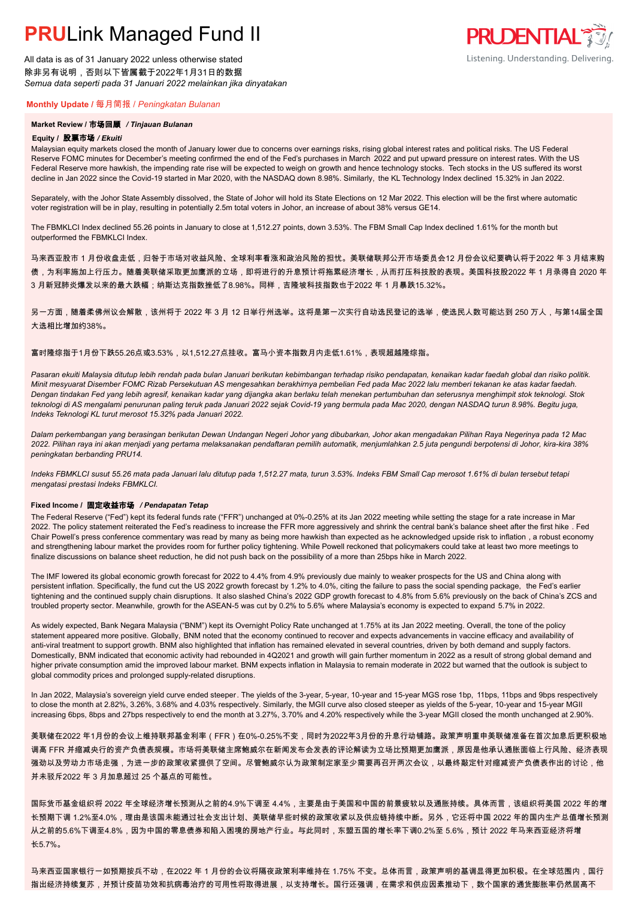All data is as of 31 January 2022 unless otherwise stated 除非另有说明,否则以下皆属截于2022年1月31日的数据 *Semua data seperti pada 31 Januari 2022 melainkan jika dinyatakan*

### **Monthly Update /** 每月简报 / *Peningkatan Bulanan*

### **Market Review /** 市场回顾 */ Tinjauan Bulanan*

#### **Equity /** 股票市场 */ Ekuiti.*

Malaysian equity markets closed the month of January lower due to concerns over earnings risks, rising global interest rates and political risks. The US Federal Reserve FOMC minutes for December's meeting confirmed the end of the Fed's purchases in March 2022 and put upward pressure on interest rates. With the US Federal Reserve more hawkish, the impending rate rise will be expected to weigh on growth and hence technology stocks. Tech stocks in the US suffered its worst decline in Jan 2022 since the Covid-19 started in Mar 2020, with the NASDAQ down 8.98%. Similarly, the KL Technology Index declined 15.32% in Jan 2022.

Separately, with the Johor State Assembly dissolved, the State of Johor will hold its State Elections on 12 Mar 2022. This election will be the first where automatic voter registration will be in play, resulting in potentially 2.5m total voters in Johor, an increase of about 38% versus GE14.

The FBMKLCI Index declined 55.26 points in January to close at 1,512.27 points, down 3.53%. The FBM Small Cap Index declined 1.61% for the month but outperformed the FBMKLCI Index.

马来西亚股市 1 月份收盘走低,归咎于市场对收益风险、全球利率看涨和政治风险的担忧。美联储联邦公开市场委员会12 月份会议纪要确认将于2022 年 3 月结束购 债,为利率施加上行压力。随着美联储采取更加鹰派的立场,即将进行的升息预计将拖累经济增长,从而打压科技股的表现。美国科技股2022 年 1 月录得自 2020 年 3 月新冠肺炎爆发以来的最大跌幅;纳斯达克指数挫低了8.98%。同样,吉隆坡科技指数也于2022 年 1 月暴跌15.32%。

另一方面,随着柔佛州议会解散,该州将于 2022 年 3 月 12 日举行州选举。这将是第一次实行自动选民登记的选举,使选民人数可能达到 250 万人,与第14届全国 大选相比增加约38%。

### 富时隆综指于1月份下跌55.26点或3.53%,以1,512.27点挂收。富马小资本指数月内走低1.61%,表现超越隆综指。

*Pasaran ekuiti Malaysia ditutup lebih rendah pada bulan Januari berikutan kebimbangan terhadap risiko pendapatan, kenaikan kadar faedah global dan risiko politik. Minit mesyuarat Disember FOMC Rizab Persekutuan AS mengesahkan berakhirnya pembelian Fed pada Mac 2022 lalu memberi tekanan ke atas kadar faedah. Dengan tindakan Fed yang lebih agresif, kenaikan kadar yang dijangka akan berlaku telah menekan pertumbuhan dan seterusnya menghimpit stok teknologi. Stok teknologi di AS mengalami penurunan paling teruk pada Januari 2022 sejak Covid-19 yang bermula pada Mac 2020, dengan NASDAQ turun 8.98%. Begitu juga, Indeks Teknologi KL turut merosot 15.32% pada Januari 2022.*

*Dalam perkembangan yang berasingan berikutan Dewan Undangan Negeri Johor yang dibubarkan, Johor akan mengadakan Pilihan Raya Negerinya pada 12 Mac 2022. Pilihan raya ini akan menjadi yang pertama melaksanakan pendaftaran pemilih automatik, menjumlahkan 2.5 juta pengundi berpotensi di Johor, kira-kira 38% peningkatan berbanding PRU14.*

*Indeks FBMKLCI susut 55.26 mata pada Januari lalu ditutup pada 1,512.27 mata, turun 3.53%. Indeks FBM Small Cap merosot 1.61% di bulan tersebut tetapi mengatasi prestasi Indeks FBMKLCI.*

#### **Fixed Income /** 固定收益市场 */ Pendapatan Tetap*

*.* The Federal Reserve ("Fed") kept its federal funds rate ("FFR") unchanged at 0%-0.25% at its Jan 2022 meeting while setting the stage for a rate increase in Mar 2022. The policy statement reiterated the Fed's readiness to increase the FFR more aggressively and shrink the central bank's balance sheet after the first hike . Fed Chair Powell's press conference commentary was read by many as being more hawkish than expected as he acknowledged upside risk to inflation , a robust economy and strengthening labour market the provides room for further policy tightening. While Powell reckoned that policymakers could take at least two more meetings to finalize discussions on balance sheet reduction, he did not push back on the possibility of a more than 25bps hike in March 2022.

The IMF lowered its global economic growth forecast for 2022 to 4.4% from 4.9% previously due mainly to weaker prospects for the US and China along with persistent inflation. Specifically, the fund cut the US 2022 growth forecast by 1.2% to 4.0%, citing the failure to pass the social spending package, the Fed's earlier tightening and the continued supply chain disruptions. It also slashed China's 2022 GDP growth forecast to 4.8% from 5.6% previously on the back of China's ZCS and troubled property sector. Meanwhile, growth for the ASEAN-5 was cut by 0.2% to 5.6% where Malaysia's economy is expected to expand 5.7% in 2022.

As widely expected, Bank Negara Malaysia ("BNM") kept its Overnight Policy Rate unchanged at 1.75% at its Jan 2022 meeting. Overall, the tone of the policy statement appeared more positive. Globally, BNM noted that the economy continued to recover and expects advancements in vaccine efficacy and availability of anti-viral treatment to support growth. BNM also highlighted that inflation has remained elevated in several countries, driven by both demand and supply factors. Domestically, BNM indicated that economic activity had rebounded in 4Q2021 and growth will gain further momentum in 2022 as a result of strong global demand and higher private consumption amid the improved labour market. BNM expects inflation in Malaysia to remain moderate in 2022 but warned that the outlook is subject to global commodity prices and prolonged supply-related disruptions.

In Jan 2022, Malaysia's sovereign yield curve ended steeper. The yields of the 3-year, 5-year, 10-year and 15-year MGS rose 1bp, 11bps, 11bps and 9bps respectively to close the month at 2.82%, 3.26%, 3.68% and 4.03% respectively. Similarly, the MGII curve also closed steeper as yields of the 5-year, 10-year and 15-year MGII increasing 6bps, 8bps and 27bps respectively to end the month at 3.27%, 3.70% and 4.20% respectively while the 3-year MGII closed the month unchanged at 2.90%.

美联储在2022 年1月份的会议上维持联邦基金利率(FFR)在0%-0.25%不变,同时为2022年3月份的升息行动铺路。政策声明重申美联储准备在首次加息后更积极地 调高 FFR 并缩减央行的资产负债表规模。市场将美联储主席鲍威尔在新闻发布会发表的评论解读为立场比预期更加鹰派,原因是他承认通胀面临上行风险、经济表现 强劲以及劳动力市场走强,为进一步的政策收紧提供了空间。尽管鲍威尔认为政策制定家至少需要再召开两次会议,以最终敲定针对缩减资产负债表作出的讨论,他 并未驳斥2022 年 3 月加息超过 25 个基点的可能性。

国际货币基金组织将 2022 年全球经济增长预测从之前的4.9%下调至 4.4%,主要是由于美国和中国的前景疲软以及通胀持续。具体而言,该组织将美国 2022 年的增 长预期下调 1.2%至4.0%,理由是该国未能通过社会支出计划、美联储早些时候的政策收紧以及供应链持续中断。另外,它还将中国 2022 年的国内生产总值增长预测 从之前的5.6%下调至4.8%,因为中国的零息债券和陷入困境的房地产行业。与此同时,东盟五国的增长率下调0.2%至 5.6%,预计 2022 年马来西亚经济将增 长5.7%。

马来西亚国家银行一如预期按兵不动,在2022 年 1 月份的会议将隔夜政策利率维持在 1.75% 不变。总体而言,政策声明的基调显得更加积极。在全球范围内,国行 指出经济持续复苏,并预计疫苗功效和抗病毒治疗的可用性将取得进展,以支持增长。国行还强调,在需求和供应因素推动下,数个国家的通货膨胀率仍然居高不

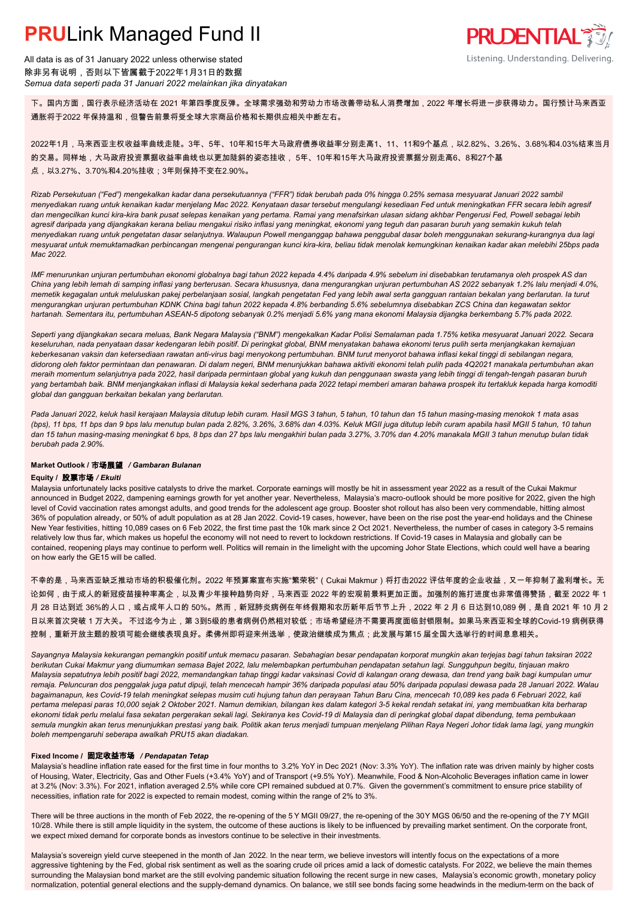

All data is as of 31 January 2022 unless otherwise stated 除非另有说明,否则以下皆属截于2022年1月31日的数据 *Semua data seperti pada 31 Januari 2022 melainkan jika dinyatakan*

下。国内方面,国行表示经济活动在 2021 年第四季度反弹。全球需求强劲和劳动力市场改善带动私人消费增加,2022 年增长将进一步获得动力。国行预计马来西亚 通胀将于2022 年保持温和,但警告前景将受全球大宗商品价格和长期供应相关中断左右。

2022年1月,马来西亚主权收益率曲线走陡。3年、5年、10年和15年大马政府债券收益率分别走高1、11、11和9个基点,以2.82%、3.26%、3.68%和4.03%结束当月 的交易。同样地,大马政府投资票据收益率曲线也以更加陡斜的姿态挂收, 5年、10年和15年大马政府投资票据分别走高6、8和27个基 点,以3.27%、3.70%和4.20%挂收;3年则保持不变在2.90%。

*Rizab Persekutuan ("Fed") mengekalkan kadar dana persekutuannya ("FFR") tidak berubah pada 0% hingga 0.25% semasa mesyuarat Januari 2022 sambil menyediakan ruang untuk kenaikan kadar menjelang Mac 2022. Kenyataan dasar tersebut mengulangi kesediaan Fed untuk meningkatkan FFR secara lebih agresif dan mengecilkan kunci kira-kira bank pusat selepas kenaikan yang pertama. Ramai yang menafsirkan ulasan sidang akhbar Pengerusi Fed, Powell sebagai lebih agresif daripada yang dijangkakan kerana beliau mengakui risiko inflasi yang meningkat, ekonomi yang teguh dan pasaran buruh yang semakin kukuh telah menyediakan ruang untuk pengetatan dasar selanjutnya. Walaupun Powell menganggap bahawa penggubal dasar boleh menggunakan sekurang-kurangnya dua lagi mesyuarat untuk memuktamadkan perbincangan mengenai pengurangan kunci kira-kira, beliau tidak menolak kemungkinan kenaikan kadar akan melebihi 25bps pada Mac 2022.*

*IMF menurunkan unjuran pertumbuhan ekonomi globalnya bagi tahun 2022 kepada 4.4% daripada 4.9% sebelum ini disebabkan terutamanya oleh prospek AS dan China yang lebih lemah di samping inflasi yang berterusan. Secara khususnya, dana mengurangkan unjuran pertumbuhan AS 2022 sebanyak 1.2% lalu menjadi 4.0%, memetik kegagalan untuk meluluskan pakej perbelanjaan sosial, langkah pengetatan Fed yang lebih awal serta gangguan rantaian bekalan yang berlarutan. Ia turut mengurangkan unjuran pertumbuhan KDNK China bagi tahun 2022 kepada 4.8% berbanding 5.6% sebelumnya disebabkan ZCS China dan kegawatan sektor hartanah. Sementara itu, pertumbuhan ASEAN-5 dipotong sebanyak 0.2% menjadi 5.6% yang mana ekonomi Malaysia dijangka berkembang 5.7% pada 2022.*

*Seperti yang dijangkakan secara meluas, Bank Negara Malaysia ("BNM") mengekalkan Kadar Polisi Semalaman pada 1.75% ketika mesyuarat Januari 2022. Secara keseluruhan, nada penyataan dasar kedengaran lebih positif. Di peringkat global, BNM menyatakan bahawa ekonomi terus pulih serta menjangkakan kemajuan keberkesanan vaksin dan ketersediaan rawatan anti-virus bagi menyokong pertumbuhan. BNM turut menyorot bahawa inflasi kekal tinggi di sebilangan negara, didorong oleh faktor permintaan dan penawaran. Di dalam negeri, BNM menunjukkan bahawa aktiviti ekonomi telah pulih pada 4Q2021 manakala pertumbuhan akan meraih momentum selanjutnya pada 2022, hasil daripada permintaan global yang kukuh dan penggunaan swasta yang lebih tinggi di tengah-tengah pasaran buruh yang bertambah baik. BNM menjangkakan inflasi di Malaysia kekal sederhana pada 2022 tetapi memberi amaran bahawa prospek itu tertakluk kepada harga komoditi global dan gangguan berkaitan bekalan yang berlarutan.*

*Pada Januari 2022, keluk hasil kerajaan Malaysia ditutup lebih curam. Hasil MGS 3 tahun, 5 tahun, 10 tahun dan 15 tahun masing-masing menokok 1 mata asas (bps), 11 bps, 11 bps dan 9 bps lalu menutup bulan pada 2.82%, 3.26%, 3.68% dan 4.03%. Keluk MGII juga ditutup lebih curam apabila hasil MGII 5 tahun, 10 tahun dan 15 tahun masing-masing meningkat 6 bps, 8 bps dan 27 bps lalu mengakhiri bulan pada 3.27%, 3.70% dan 4.20% manakala MGII 3 tahun menutup bulan tidak berubah pada 2.90%.*

## **Market Outlook /** 市场展望 */ Gambaran Bulanan*

### **Equity /** 股票市场 */ Ekuiti .*

Malaysia unfortunately lacks positive catalysts to drive the market. Corporate earnings will mostly be hit in assessment year 2022 as a result of the Cukai Makmur announced in Budget 2022, dampening earnings growth for yet another year. Nevertheless, Malaysia's macro-outlook should be more positive for 2022, given the high level of Covid vaccination rates amongst adults, and good trends for the adolescent age group. Booster shot rollout has also been very commendable, hitting almost 36% of population already, or 50% of adult population as at 28 Jan 2022. Covid-19 cases, however, have been on the rise post the year-end holidays and the Chinese New Year festivities, hitting 10,089 cases on 6 Feb 2022, the first time past the 10k mark since 2 Oct 2021. Nevertheless, the number of cases in category 3-5 remains relatively low thus far, which makes us hopeful the economy will not need to revert to lockdown restrictions. If Covid-19 cases in Malaysia and globally can be contained, reopening plays may continue to perform well. Politics will remain in the limelight with the upcoming Johor State Elections, which could well have a bearing on how early the GE15 will be called.

不幸的是,马来西亚缺乏推动市场的积极催化剂。2022 年预算案宣布实施"繁荣税"(Cukai Makmur)将打击2022 评估年度的企业收益,又一年抑制了盈利增长。无 论如何,由于成人的新冠疫苗接种率高企,以及青少年接种趋势向好,马来西亚 2022 年的宏观前景料更加正面。加强剂的施打进度也非常值得赞扬,截至 2022 年 1 月 28 日达到近 36%的人口,或占成年人口的 50%。然而,新冠肺炎病例在年终假期和农历新年后节节上升,2022 年 2 月 6 日达到10,089 例,是自 2021 年 10 月 2 日以来首次突破 1 万大关。 不过迄今为止,第 3到5级的患者病例仍然相对较低;市场希望经济不需要再度面临封锁限制。如果马来西亚和全球的Covid-19 病例获得 控制,重新开放主题的股项可能会继续表现良好。柔佛州即将迎来州选举,使政治继续成为焦点;此发展与第15 届全国大选举行的时间息息相关。

*Sayangnya Malaysia kekurangan pemangkin positif untuk memacu pasaran. Sebahagian besar pendapatan korporat mungkin akan terjejas bagi tahun taksiran 2022 berikutan Cukai Makmur yang diumumkan semasa Bajet 2022, lalu melembapkan pertumbuhan pendapatan setahun lagi. Sungguhpun begitu, tinjauan makro Malaysia sepatutnya lebih positif bagi 2022, memandangkan tahap tinggi kadar vaksinasi Covid di kalangan orang dewasa, dan trend yang baik bagi kumpulan umur remaja. Peluncuran dos penggalak juga patut dipuji, telah mencecah hampir 36% daripada populasi atau 50% daripada populasi dewasa pada 28 Januari 2022. Walau bagaimanapun, kes Covid-19 telah meningkat selepas musim cuti hujung tahun dan perayaan Tahun Baru Cina, mencecah 10,089 kes pada 6 Februari 2022, kali pertama melepasi paras 10,000 sejak 2 Oktober 2021. Namun demikian, bilangan kes dalam kategori 3-5 kekal rendah setakat ini, yang membuatkan kita berharap ekonomi tidak perlu melalui fasa sekatan pergerakan sekali lagi. Sekiranya kes Covid-19 di Malaysia dan di peringkat global dapat dibendung, tema pembukaan semula mungkin akan terus menunjukkan prestasi yang baik. Politik akan terus menjadi tumpuan menjelang Pilihan Raya Negeri Johor tidak lama lagi, yang mungkin boleh mempengaruhi seberapa awalkah PRU15 akan diadakan.*

## **Fixed Income /** 固定收益市场 */ Pendapatan Tetap*

Malaysia's headline inflation rate eased for the first time in four months to 3.2% YoY in Dec 2021 (Nov: 3.3% YoY). The inflation rate was driven mainly by higher costs of Housing, Water, Electricity, Gas and Other Fuels (+3.4% YoY) and of Transport (+9.5% YoY). Meanwhile, Food & Non-Alcoholic Beverages inflation came in lower at 3.2% (Nov: 3.3%). For 2021, inflation averaged 2.5% while core CPI remained subdued at 0.7%. Given the government's commitment to ensure price stability of necessities, inflation rate for 2022 is expected to remain modest, coming within the range of 2% to 3%.

There will be three auctions in the month of Feb 2022, the re-opening of the 5 Y MGII 09/27, the re-opening of the 30Y MGS 06/50 and the re-opening of the 7Y MGII 10/28. While there is still ample liquidity in the system, the outcome of these auctions is likely to be influenced by prevailing market sentiment. On the corporate front, we expect mixed demand for corporate bonds as investors continue to be selective in their investments.

Malaysia's sovereign yield curve steepened in the month of Jan 2022. In the near term, we believe investors will intently focus on the expectations of a more aggressive tightening by the Fed, global risk sentiment as well as the soaring crude oil prices amid a lack of domestic catalysts. For 2022, we believe the main themes surrounding the Malaysian bond market are the still evolving pandemic situation following the recent surge in new cases, Malaysia's economic growth, monetary policy normalization, potential general elections and the supply-demand dynamics. On balance, we still see bonds facing some headwinds in the medium-term on the back of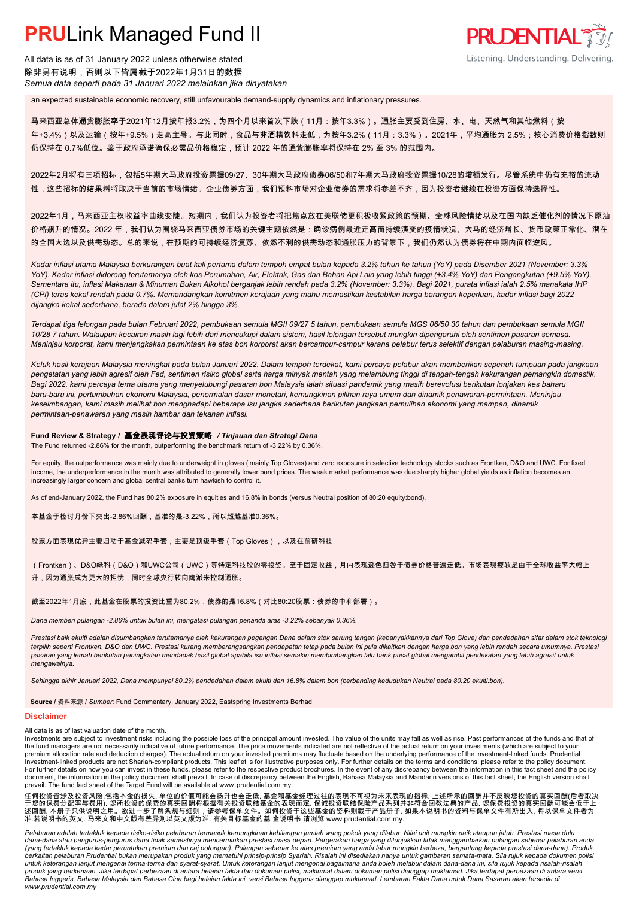All data is as of 31 January 2022 unless otherwise stated 除非另有说明,否则以下皆属截于2022年1月31日的数据 *Semua data seperti pada 31 Januari 2022 melainkan jika dinyatakan*

an expected sustainable economic recovery, still unfavourable demand-supply dynamics and inflationary pressures.

马来西亚总体通货膨胀率于2021年12月按年报3.2%,为四个月以来首次下跌(11月:按年3.3%)。通胀主要受到住房、水、电、天然气和其他燃料(按 年+3.4%)以及运输(按年+9.5%)走高主导。与此同时,食品与非酒精饮料走低,为按年3.2%(11月:3.3%)。2021年,平均通胀为 2.5%;核心消费价格指数则 仍保持在 0.7%低位。鉴于政府承诺确保必需品价格稳定,预计 2022 年的通货膨胀率将保持在 2% 至 3% 的范围内。

**PRUDENTIAL 35** 

Listening. Understanding. Delivering.

2022年2月将有三项招标,包括5年期大马政府投资票据09/27、30年期大马政府债券06/50和7年期大马政府投资票据10/28的增额发行。尽管系统中仍有充裕的流动 性,这些招标的结果料将取决于当前的市场情绪。企业债券方面,我们预料市场对企业债券的需求将参差不齐,因为投资者继续在投资方面保持选择性。

2022年1月,马来西亚主权收益率曲线变陡。短期内,我们认为投资者将把焦点放在美联储更积极收紧政策的预期、全球风险情绪以及在国内缺乏催化剂的情况下原油 价格飙升的情况。2022 年,我们认为围绕马来西亚债券市场的关键主题依然是:确诊病例最近走高而持续演变的疫情状况、大马的经济增长、货币政策正常化、潜在 的全国大选以及供需动态。总的来说,在预期的可持续经济复苏、依然不利的供需动态和通胀压力的背景下,我们仍然认为债券将在中期内面临逆风。

*Kadar inflasi utama Malaysia berkurangan buat kali pertama dalam tempoh empat bulan kepada 3.2% tahun ke tahun (YoY) pada Disember 2021 (November: 3.3% YoY). Kadar inflasi didorong terutamanya oleh kos Perumahan, Air, Elektrik, Gas dan Bahan Api Lain yang lebih tinggi (+3.4% YoY) dan Pengangkutan (+9.5% YoY). Sementara itu, inflasi Makanan & Minuman Bukan Alkohol berganjak lebih rendah pada 3.2% (November: 3.3%). Bagi 2021, purata inflasi ialah 2.5% manakala IHP (CPI) teras kekal rendah pada 0.7%. Memandangkan komitmen kerajaan yang mahu memastikan kestabilan harga barangan keperluan, kadar inflasi bagi 2022 dijangka kekal sederhana, berada dalam julat 2% hingga 3%.*

*Terdapat tiga lelongan pada bulan Februari 2022, pembukaan semula MGII 09/27 5 tahun, pembukaan semula MGS 06/50 30 tahun dan pembukaan semula MGII 10/28 7 tahun. Walaupun kecairan masih lagi lebih dari mencukupi dalam sistem, hasil lelongan tersebut mungkin dipengaruhi oleh sentimen pasaran semasa. Meninjau korporat, kami menjangkakan permintaan ke atas bon korporat akan bercampur-campur kerana pelabur terus selektif dengan pelaburan masing-masing.*

*Keluk hasil kerajaan Malaysia meningkat pada bulan Januari 2022. Dalam tempoh terdekat, kami percaya pelabur akan memberikan sepenuh tumpuan pada jangkaan pengetatan yang lebih agresif oleh Fed, sentimen risiko global serta harga minyak mentah yang melambung tinggi di tengah-tengah kekurangan pemangkin domestik. Bagi 2022, kami percaya tema utama yang menyelubungi pasaran bon Malaysia ialah situasi pandemik yang masih berevolusi berikutan lonjakan kes baharu baru-baru ini, pertumbuhan ekonomi Malaysia, penormalan dasar monetari, kemungkinan pilihan raya umum dan dinamik penawaran-permintaan. Meninjau keseimbangan, kami masih melihat bon menghadapi beberapa isu jangka sederhana berikutan jangkaan pemulihan ekonomi yang mampan, dinamik permintaan-penawaran yang masih hambar dan tekanan inflasi.*

## **Fund Review & Strategy /** 基金表现评论与投资策略 */ Tinjauan dan Strategi Dana*

The Fund returned -2.86% for the month, outperforming the benchmark return of -3.22% by 0.36%. *.*

For equity, the outperformance was mainly due to underweight in gloves (mainly Top Gloves) and zero exposure in selective technology stocks such as Frontken, D&O and UWC. For fixed income, the underperformance in the month was attributed to generally lower bond prices. The weak market performance was due sharply higher global yields as inflation becomes an increasingly larger concern and global central banks turn hawkish to control it.

As of end-January 2022, the Fund has 80.2% exposure in equities and 16.8% in bonds (versus Neutral position of 80:20 equity:bond).

本基金干检讨月份下交出-2.86%回酬,基准的是-3.22%,所以超越基准0.36%。

股票方面表现优异主要归功于基金减码手套,主要是顶级手套(Top Gloves),以及在前研科技

(Frontken)、D&O绿科(D&O)和UWC公司(UWC)等特定科技股的零投资。至于固定收益,月内表现逊色归咎于债券价格普遍走低。市场表现疲软是由于全球收益率大幅上 升,因为通胀成为更大的担忧,同时全球央行转向鹰派来控制通胀。

截至2022年1月底,此基金在股票的投资比重为80.2%,债券的是16.8%(对比80:20股票:债券的中和部署)。

*Dana memberi pulangan -2.86% untuk bulan ini, mengatasi pulangan penanda aras -3.22% sebanyak 0.36%.*

*Prestasi baik ekuiti adalah disumbangkan terutamanya oleh kekurangan pegangan Dana dalam stok sarung tangan (kebanyakkannya dari Top Glove) dan pendedahan sifar dalam stok teknologi terpilih seperti Frontken, D&O dan UWC. Prestasi kurang memberangsangkan pendapatan tetap pada bulan ini pula dikaitkan dengan harga bon yang lebih rendah secara umumnya. Prestasi pasaran yang lemah berikutan peningkatan mendadak hasil global apabila isu inflasi semakin membimbangkan lalu bank pusat global mengambil pendekatan yang lebih agresif untuk mengawalnya.*

*Sehingga akhir Januari 2022, Dana mempunyai 80.2% pendedahan dalam ekuiti dan 16.8% dalam bon (berbanding kedudukan Neutral pada 80:20 ekuiti:bon).*

**Source /** 资料来源 / *Sumber*: Fund Commentary, January 2022, Eastspring Investments Berhad

#### **Disclaimer**

All data is as of last valuation date of the month.

Investments are subject to investment risks including the possible loss of the principal amount invested. The value of the units may fall as well as rise. Past performances of the funds and that of the fund managers are not necessarily indicative of future performance. The price movements indicated are not reflective of the actual return on your investments (which are subject to your premium allocation rate and deduction charges). The actual return on your invested premiums may fluctuate based on the underlying performance of the investment-linked funds. Prudential Investment-linked products are not Shariah-compliant products. This leaflet is for illustrative purposes only. For further details on the terms and conditions, please refer to the policy document.<br>For further details on ho document, the information in the policy document shall prevail. In case of discrepancy between the English, Bahasa Malaysia and Mandarin versions of this fact sheet, the English version shall prevail. The fund fact sheet of the Target Fund will be available at www .prudential.com.my.

任何投资皆涉及投资风险,包括本金的损失, 单位的价值可能会扬升也会走低. 基金和基金经理过往的表现不可视为未来表现的指标. 上述所示的回酬并不反映您投资的真实回酬(后者取决<br>于您的保费分配率与费用). 您所投资的保费的真实回酬将根据有关投资联结基金的表现而定. 保诚投资联结保险产品系列并非符合回教法典的产品. 您保费投资的真实回酬可能会低于上<br>述回酬. 本册子只供说明之用。欲进一步了解条规与细则,请参考保单文件。如何投资于这些基金的资料则

Pelaburan adalah tertakluk kepada risiko-risiko pelaburan termasuk kemungkinan kehilangan jumlah wang pokok yang dilabur. Nilai unit mungkin naik ataupun jatuh. Prestasi masa dulu<br>dana-dana atau pengurus-pengurus dana tida (yang tertakluk kepada kadar peruntukan premium dan caj potongan). Pulangan sebenar ke atas premium yang anda labur mungkin berbeza, bergantung kepada prestasi dana-dana). Produk<br>berkaitan pelaburan Prudential bukan merupa untuk keterangan lanjut mengenai terma-terma dan syarat-syarat. Untuk keterangan lanjuk mengenai bagaimana anda boleh melabur dalam dana-dana ini, sila rujuk kepada risalah-risalah<br>produk yang berkenaan. Jika terdapat perb *www.prudential.com.my*